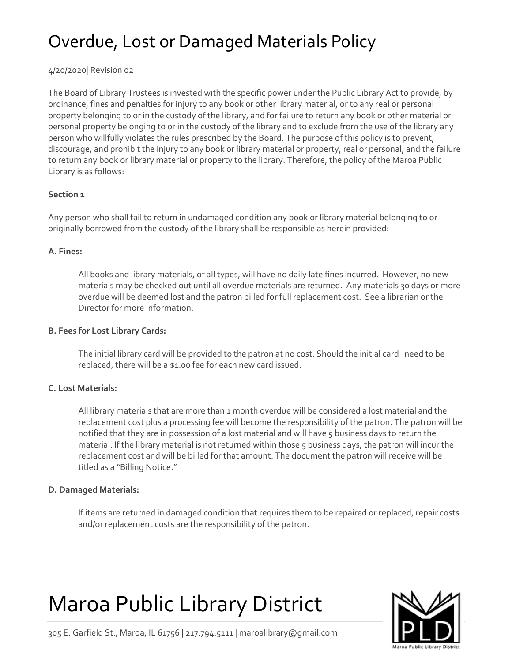# Overdue, Lost or Damaged Materials Policy

4/20/2020| Revision 02

The Board of Library Trustees is invested with the specific power under the Public Library Act to provide, by ordinance, fines and penalties for injury to any book or other library material, or to any real or personal property belonging to or in the custody of the library, and for failure to return any book or other material or personal property belonging to or in the custody of the library and to exclude from the use of the library any person who willfully violates the rules prescribed by the Board. The purpose of this policy is to prevent, discourage, and prohibit the injury to any book or library material or property, real or personal, and the failure to return any book or library material or property to the library. Therefore, the policy of the Maroa Public Library is as follows:

# **Section 1**

Any person who shall fail to return in undamaged condition any book or library material belonging to or originally borrowed from the custody of the library shall be responsible as herein provided:

### **A. Fines:**

All books and library materials, of all types, will have no daily late fines incurred. However, no new materials may be checked out until all overdue materials are returned. Any materials 30 days or more overdue will be deemed lost and the patron billed for full replacement cost. See a librarian or the Director for more information.

### **B. Fees for Lost Library Cards:**

The initial library card will be provided to the patron at no cost. Should the initial card need to be replaced, there will be a \$1.00 fee for each new card issued.

### **C. Lost Materials:**

All library materials that are more than 1 month overdue will be considered a lost material and the replacement cost plus a processing fee will become the responsibility of the patron. The patron will be notified that they are in possession of a lost material and will have 5 business days to return the material. If the library material is not returned within those 5 business days, the patron will incur the replacement cost and will be billed for that amount. The document the patron will receive will be titled as a "Billing Notice."

### **D. Damaged Materials:**

If items are returned in damaged condition that requires them to be repaired or replaced, repair costs and/or replacement costs are the responsibility of the patron.

# Maroa Public Library District



305 E. Garfield St., Maroa, IL 61756 | 217.794.5111 | maroalibrary@gmail.com